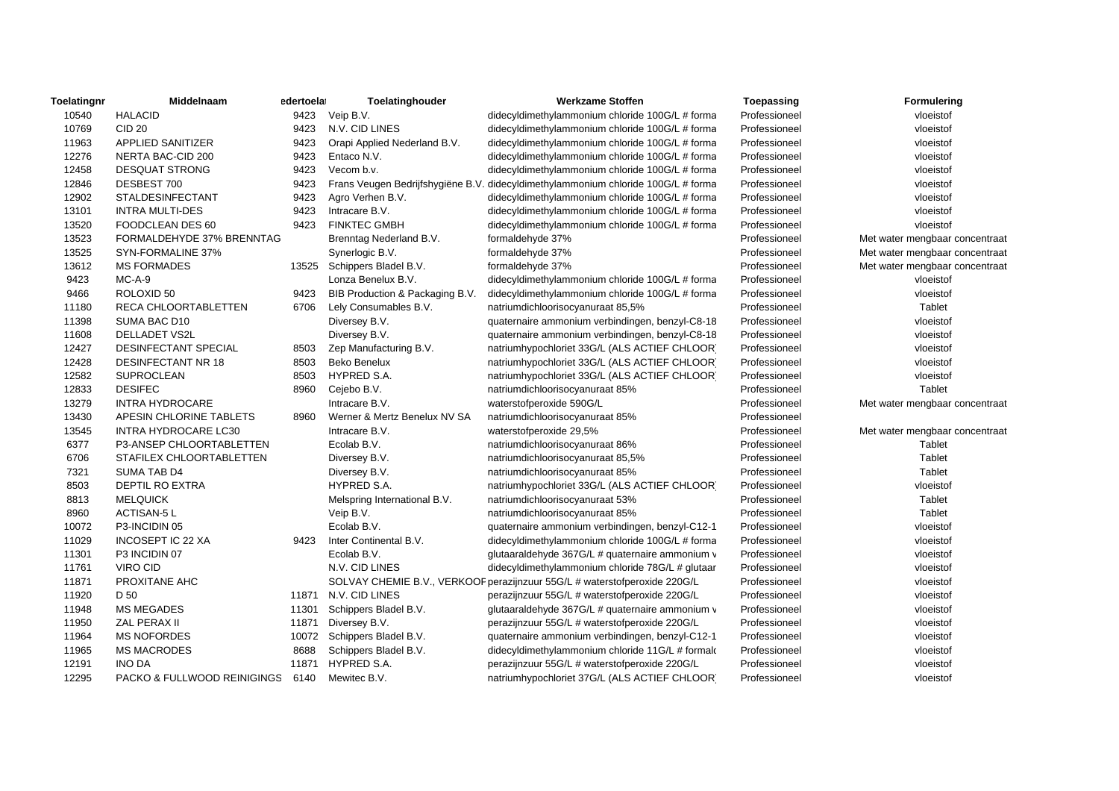| Toelatingnr | Middelnaam                  | edertoelat | Toelatinghouder                 | <b>Werkzame Stoffen</b>                                                           | Toepassing    | Formulering                    |
|-------------|-----------------------------|------------|---------------------------------|-----------------------------------------------------------------------------------|---------------|--------------------------------|
| 10540       | <b>HALACID</b>              |            | 9423 Veip B.V.                  | didecyldimethylammonium chloride 100G/L # forma                                   | Professioneel | vloeistof                      |
| 10769       | <b>CID 20</b>               | 9423       | N.V. CID LINES                  | didecyldimethylammonium chloride 100G/L # forma                                   | Professioneel | vloeistof                      |
| 11963       | APPLIED SANITIZER           | 9423       | Orapi Applied Nederland B.V.    | didecyldimethylammonium chloride 100G/L # forma                                   | Professioneel | vloeistof                      |
| 12276       | NERTA BAC-CID 200           | 9423       | Entaco N.V.                     | didecyldimethylammonium chloride 100G/L # forma                                   | Professioneel | vloeistof                      |
| 12458       | <b>DESQUAT STRONG</b>       | 9423       | Vecom b.v.                      | didecyldimethylammonium chloride 100G/L # forma                                   | Professioneel | vloeistof                      |
| 12846       | DESBEST 700                 | 9423       |                                 | Frans Veugen Bedrijfshygiëne B.V. didecyldimethylammonium chloride 100G/L # forma | Professioneel | vloeistof                      |
| 12902       | <b>STALDESINFECTANT</b>     | 9423       | Agro Verhen B.V.                | didecyldimethylammonium chloride 100G/L # forma                                   | Professioneel | vloeistof                      |
| 13101       | <b>INTRA MULTI-DES</b>      | 9423       | Intracare B.V.                  | didecyldimethylammonium chloride 100G/L # forma                                   | Professioneel | vloeistof                      |
| 13520       | FOODCLEAN DES 60            | 9423       | <b>FINKTEC GMBH</b>             | didecyldimethylammonium chloride 100G/L # forma                                   | Professioneel | vloeistof                      |
| 13523       | FORMALDEHYDE 37% BRENNTAG   |            | Brenntag Nederland B.V.         | formaldehyde 37%                                                                  | Professioneel | Met water mengbaar concentraat |
| 13525       | SYN-FORMALINE 37%           |            | Synerlogic B.V.                 | formaldehyde 37%                                                                  | Professioneel | Met water mengbaar concentraat |
| 13612       | <b>MS FORMADES</b>          | 13525      | Schippers Bladel B.V.           | formaldehyde 37%                                                                  | Professioneel | Met water mengbaar concentraat |
| 9423        | $MC-A-9$                    |            | Lonza Benelux B.V.              | didecyldimethylammonium chloride 100G/L # forma                                   | Professioneel | vloeistof                      |
| 9466        | ROLOXID 50                  | 9423       | BIB Production & Packaging B.V. | didecyldimethylammonium chloride 100G/L # forma                                   | Professioneel | vloeistof                      |
| 11180       | <b>RECA CHLOORTABLETTEN</b> | 6706       | Lely Consumables B.V.           | natriumdichloorisocyanuraat 85,5%                                                 | Professioneel | Tablet                         |
| 11398       | SUMA BAC D10                |            | Diversey B.V.                   | quaternaire ammonium verbindingen, benzyl-C8-18                                   | Professioneel | vloeistof                      |
| 11608       | <b>DELLADET VS2L</b>        |            | Diversey B.V.                   | quaternaire ammonium verbindingen, benzyl-C8-18                                   | Professioneel | vloeistof                      |
| 12427       | DESINFECTANT SPECIAL        | 8503       | Zep Manufacturing B.V.          | natriumhypochloriet 33G/L (ALS ACTIEF CHLOOR)                                     | Professioneel | vloeistof                      |
| 12428       | <b>DESINFECTANT NR 18</b>   | 8503       | <b>Beko Benelux</b>             | natriumhypochloriet 33G/L (ALS ACTIEF CHLOOR)                                     | Professioneel | vloeistof                      |
| 12582       | SUPROCLEAN                  | 8503       | HYPRED S.A.                     | natriumhypochloriet 33G/L (ALS ACTIEF CHLOOR)                                     | Professioneel | vloeistof                      |
| 12833       | <b>DESIFEC</b>              | 8960       | Cejebo B.V.                     | natriumdichloorisocyanuraat 85%                                                   | Professioneel | Tablet                         |
| 13279       | <b>INTRA HYDROCARE</b>      |            | Intracare B.V.                  | waterstofperoxide 590G/L                                                          | Professioneel | Met water mengbaar concentraat |
| 13430       | APESIN CHLORINE TABLETS     | 8960       | Werner & Mertz Benelux NV SA    | natriumdichloorisocyanuraat 85%                                                   | Professioneel |                                |
| 13545       | INTRA HYDROCARE LC30        |            | Intracare B.V.                  | waterstofperoxide 29,5%                                                           | Professioneel | Met water mengbaar concentraat |
| 6377        | P3-ANSEP CHLOORTABLETTEN    |            | Ecolab B.V.                     | natriumdichloorisocyanuraat 86%                                                   | Professioneel | Tablet                         |
| 6706        | STAFILEX CHLOORTABLETTEN    |            | Diversey B.V.                   | natriumdichloorisocyanuraat 85,5%                                                 | Professioneel | Tablet                         |
| 7321        | SUMA TAB D4                 |            | Diversey B.V.                   | natriumdichloorisocyanuraat 85%                                                   | Professioneel | Tablet                         |
| 8503        | DEPTIL RO EXTRA             |            | HYPRED S.A.                     | natriumhypochloriet 33G/L (ALS ACTIEF CHLOOR)                                     | Professioneel | vloeistof                      |
| 8813        | <b>MELQUICK</b>             |            | Melspring International B.V.    | natriumdichloorisocyanuraat 53%                                                   | Professioneel | Tablet                         |
| 8960        | <b>ACTISAN-5 L</b>          |            | Veip B.V.                       | natriumdichloorisocyanuraat 85%                                                   | Professioneel | Tablet                         |
| 10072       | P3-INCIDIN 05               |            | Ecolab B.V.                     | quaternaire ammonium verbindingen, benzyl-C12-1                                   | Professioneel | vloeistof                      |
| 11029       | <b>INCOSEPT IC 22 XA</b>    | 9423       | Inter Continental B.V.          | didecyldimethylammonium chloride 100G/L # forma                                   | Professioneel | vloeistof                      |
| 11301       | P3 INCIDIN 07               |            | Ecolab B.V.                     | glutaaraldehyde 367G/L # quaternaire ammonium v                                   | Professioneel | vloeistof                      |
| 11761       | <b>VIRO CID</b>             |            | N.V. CID LINES                  | didecyldimethylammonium chloride 78G/L # glutaar                                  | Professioneel | vloeistof                      |
| 11871       | PROXITANE AHC               |            |                                 | SOLVAY CHEMIE B.V., VERKOOF perazijnzuur 55G/L # waterstofperoxide 220G/L         | Professioneel | vloeistof                      |
| 11920       | D 50                        |            | 11871 N.V. CID LINES            | perazijnzuur 55G/L # waterstofperoxide 220G/L                                     | Professioneel | vloeistof                      |
| 11948       | <b>MS MEGADES</b>           | 11301      | Schippers Bladel B.V.           | glutaaraldehyde 367G/L # quaternaire ammonium v                                   | Professioneel | vloeistof                      |
| 11950       | ZAL PERAX II                | 11871      | Diversey B.V.                   | perazijnzuur 55G/L # waterstofperoxide 220G/L                                     | Professioneel | vloeistof                      |
| 11964       | <b>MS NOFORDES</b>          |            | 10072 Schippers Bladel B.V.     | quaternaire ammonium verbindingen, benzyl-C12-1                                   | Professioneel | vloeistof                      |
| 11965       | <b>MS MACRODES</b>          | 8688       | Schippers Bladel B.V.           | didecyldimethylammonium chloride 11G/L # formal                                   | Professioneel | vloeistof                      |
| 12191       | <b>INO DA</b>               | 11871      | HYPRED S.A.                     | perazijnzuur 55G/L # waterstofperoxide 220G/L                                     | Professioneel | vloeistof                      |
| 12295       | PACKO & FULLWOOD REINIGINGS | 6140       | Mewitec B.V.                    | natriumhypochloriet 37G/L (ALS ACTIEF CHLOOR)                                     | Professioneel | vloeistof                      |
|             |                             |            |                                 |                                                                                   |               |                                |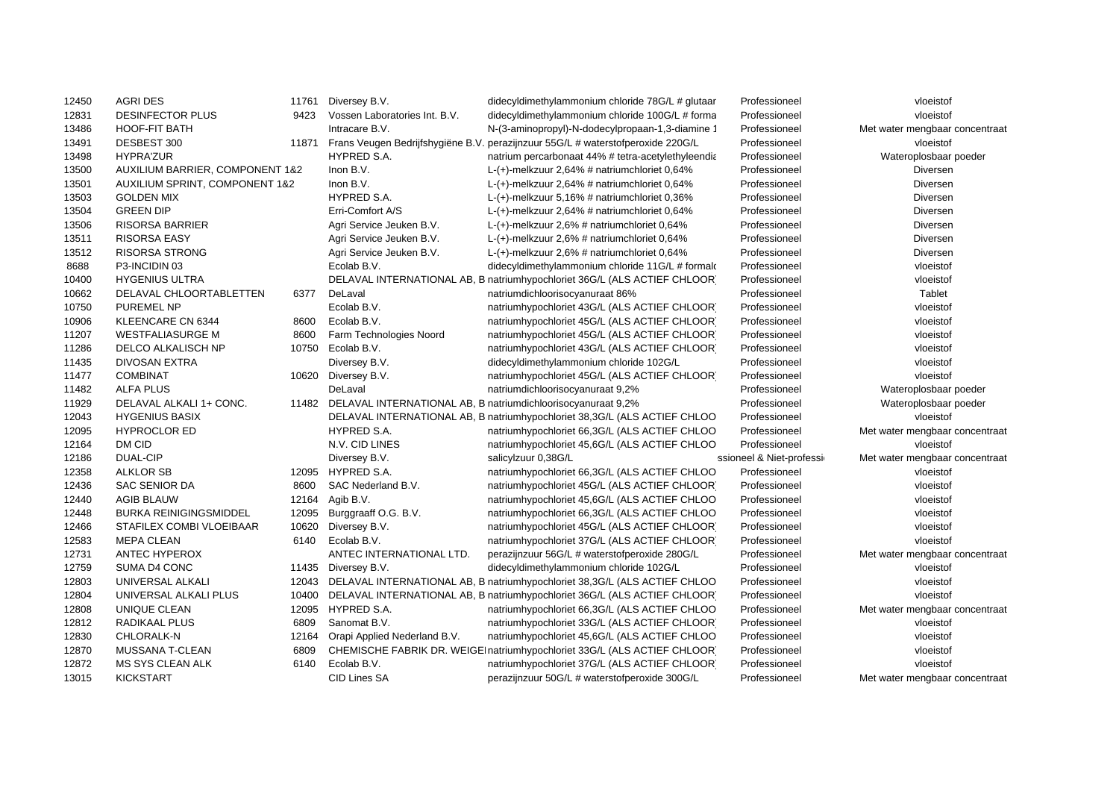| 12450 | <b>AGRI DES</b>                            | 11761 | Diversey B.V.                                                      | didecyldimethylammonium chloride 78G/L # glutaar                                | Professioneel             | vloeistof                      |
|-------|--------------------------------------------|-------|--------------------------------------------------------------------|---------------------------------------------------------------------------------|---------------------------|--------------------------------|
| 12831 | <b>DESINFECTOR PLUS</b>                    | 9423  | Vossen Laboratories Int. B.V.                                      | didecyldimethylammonium chloride 100G/L # forma                                 | Professioneel             | vloeistof                      |
| 13486 | <b>HOOF-FIT BATH</b>                       |       | Intracare B.V.                                                     | N-(3-aminopropyl)-N-dodecylpropaan-1,3-diamine 1                                | Professioneel             | Met water mengbaar concentraat |
| 13491 | DESBEST 300                                | 11871 |                                                                    | Frans Veugen Bedrijfshygiëne B.V. perazijnzuur 55G/L # waterstofperoxide 220G/L | Professioneel             | vloeistof                      |
| 13498 | <b>HYPRA'ZUR</b>                           |       | HYPRED S.A.                                                        | natrium percarbonaat 44% # tetra-acetylethyleendia                              | Professioneel             | Wateroplosbaar poeder          |
| 13500 | <b>AUXILIUM BARRIER, COMPONENT 1&amp;2</b> |       | Inon B.V.                                                          | L- $(+)$ -melkzuur 2,64% # natriumchloriet 0,64%                                | Professioneel             | Diversen                       |
| 13501 | <b>AUXILIUM SPRINT, COMPONENT 1&amp;2</b>  |       | Inon B.V.                                                          | L- $(+)$ -melkzuur 2,64% # natriumchloriet 0,64%                                | Professioneel             | Diversen                       |
| 13503 | <b>GOLDEN MIX</b>                          |       | HYPRED S.A.                                                        | $L-(+)$ -melkzuur 5,16% # natriumchloriet 0,36%                                 | Professioneel             | Diversen                       |
| 13504 | <b>GREEN DIP</b>                           |       | Erri-Comfort A/S                                                   | L- $(+)$ -melkzuur 2,64% # natriumchloriet 0,64%                                | Professioneel             | Diversen                       |
| 13506 | <b>RISORSA BARRIER</b>                     |       | Agri Service Jeuken B.V.                                           | $L-(+)$ -melkzuur 2,6% # natriumchloriet 0,64%                                  | Professioneel             | Diversen                       |
| 13511 | <b>RISORSA EASY</b>                        |       | Agri Service Jeuken B.V.                                           | L-(+)-melkzuur 2,6% # natriumchloriet 0,64%                                     | Professioneel             | Diversen                       |
| 13512 | <b>RISORSA STRONG</b>                      |       | Agri Service Jeuken B.V.                                           | L-(+)-melkzuur 2,6% # natriumchloriet 0,64%                                     | Professioneel             | <b>Diversen</b>                |
| 8688  | P3-INCIDIN 03                              |       | Ecolab B.V.                                                        | didecyldimethylammonium chloride 11G/L # formal                                 | Professioneel             | vloeistof                      |
| 10400 | <b>HYGENIUS ULTRA</b>                      |       |                                                                    | DELAVAL INTERNATIONAL AB, B natriumhypochloriet 36G/L (ALS ACTIEF CHLOOR)       | Professioneel             | vloeistof                      |
| 10662 | DELAVAL CHLOORTABLETTEN                    | 6377  | DeLaval                                                            | natriumdichloorisocyanuraat 86%                                                 | Professioneel             | Tablet                         |
| 10750 | <b>PUREMEL NP</b>                          |       | Ecolab B.V.                                                        | natriumhypochloriet 43G/L (ALS ACTIEF CHLOOR)                                   | Professioneel             | vloeistof                      |
| 10906 | KLEENCARE CN 6344                          | 8600  | Ecolab B.V.                                                        | natriumhypochloriet 45G/L (ALS ACTIEF CHLOOR)                                   | Professioneel             | vloeistof                      |
| 11207 | <b>WESTFALIASURGE M</b>                    | 8600  | Farm Technologies Noord                                            | natriumhypochloriet 45G/L (ALS ACTIEF CHLOOR)                                   | Professioneel             | vloeistof                      |
| 11286 | DELCO ALKALISCH NP                         | 10750 | Ecolab B.V.                                                        | natriumhypochloriet 43G/L (ALS ACTIEF CHLOOR)                                   | Professioneel             | vloeistof                      |
| 11435 | DIVOSAN EXTRA                              |       | Diversey B.V.                                                      | didecyldimethylammonium chloride 102G/L                                         | Professioneel             | vloeistof                      |
| 11477 | <b>COMBINAT</b>                            | 10620 | Diversey B.V.                                                      | natriumhypochloriet 45G/L (ALS ACTIEF CHLOOR)                                   | Professioneel             | vloeistof                      |
| 11482 | <b>ALFA PLUS</b>                           |       | DeLaval                                                            | natriumdichloorisocyanuraat 9,2%                                                | Professioneel             | Wateroplosbaar poeder          |
| 11929 | DELAVAL ALKALI 1+ CONC.                    |       | 11482 DELAVAL INTERNATIONAL AB, B natriumdichloorisocyanuraat 9,2% |                                                                                 | Professioneel             | Wateroplosbaar poeder          |
| 12043 | <b>HYGENIUS BASIX</b>                      |       |                                                                    | DELAVAL INTERNATIONAL AB, B natriumhypochloriet 38,3G/L (ALS ACTIEF CHLOO       | Professioneel             | vloeistof                      |
| 12095 | <b>HYPROCLOR ED</b>                        |       | HYPRED S.A.                                                        | natriumhypochloriet 66,3G/L (ALS ACTIEF CHLOO                                   | Professioneel             | Met water mengbaar concentraat |
| 12164 | DM CID                                     |       | N.V. CID LINES                                                     | natriumhypochloriet 45,6G/L (ALS ACTIEF CHLOO                                   | Professioneel             | vloeistof                      |
| 12186 | <b>DUAL-CIP</b>                            |       | Diversey B.V.                                                      | salicylzuur 0,38G/L                                                             | ssioneel & Niet-professio | Met water mengbaar concentraat |
| 12358 | <b>ALKLOR SB</b>                           | 12095 | HYPRED S.A.                                                        | natriumhypochloriet 66,3G/L (ALS ACTIEF CHLOO                                   | Professioneel             | vloeistof                      |
| 12436 | SAC SENIOR DA                              | 8600  | SAC Nederland B.V.                                                 | natriumhypochloriet 45G/L (ALS ACTIEF CHLOOR)                                   | Professioneel             | vloeistof                      |
| 12440 | <b>AGIB BLAUW</b>                          | 12164 | Agib B.V.                                                          | natriumhypochloriet 45,6G/L (ALS ACTIEF CHLOO                                   | Professioneel             | vloeistof                      |
| 12448 | <b>BURKA REINIGINGSMIDDEL</b>              | 12095 | Burggraaff O.G. B.V.                                               | natriumhypochloriet 66,3G/L (ALS ACTIEF CHLOO                                   | Professioneel             | vloeistof                      |
| 12466 | STAFILEX COMBI VLOEIBAAR                   | 10620 | Diversey B.V.                                                      | natriumhypochloriet 45G/L (ALS ACTIEF CHLOOR)                                   | Professioneel             | vloeistof                      |
| 12583 | <b>MEPA CLEAN</b>                          | 6140  | Ecolab B.V.                                                        | natriumhypochloriet 37G/L (ALS ACTIEF CHLOOR)                                   | Professioneel             | vloeistof                      |
| 12731 | <b>ANTEC HYPEROX</b>                       |       | ANTEC INTERNATIONAL LTD.                                           | perazijnzuur 56G/L # waterstofperoxide 280G/L                                   | Professioneel             | Met water mengbaar concentraat |
| 12759 | SUMA D4 CONC                               | 11435 | Diversey B.V.                                                      | didecyldimethylammonium chloride 102G/L                                         | Professioneel             | vloeistof                      |
| 12803 | UNIVERSAL ALKALI                           | 12043 |                                                                    | DELAVAL INTERNATIONAL AB, B natriumhypochloriet 38,3G/L (ALS ACTIEF CHLOO       | Professioneel             | vloeistof                      |
| 12804 | UNIVERSAL ALKALI PLUS                      | 10400 |                                                                    | DELAVAL INTERNATIONAL AB, B natriumhypochloriet 36G/L (ALS ACTIEF CHLOOR)       | Professioneel             | vloeistof                      |
| 12808 | UNIQUE CLEAN                               | 12095 | HYPRED S.A.                                                        | natriumhypochloriet 66,3G/L (ALS ACTIEF CHLOO                                   | Professioneel             | Met water mengbaar concentraat |
| 12812 | RADIKAAL PLUS                              | 6809  | Sanomat B.V.                                                       | natriumhypochloriet 33G/L (ALS ACTIEF CHLOOR)                                   | Professioneel             | vloeistof                      |
| 12830 | CHLORALK-N                                 | 12164 | Orapi Applied Nederland B.V.                                       | natriumhypochloriet 45,6G/L (ALS ACTIEF CHLOO                                   | Professioneel             | vloeistof                      |
| 12870 | MUSSANA T-CLEAN                            | 6809  |                                                                    | CHEMISCHE FABRIK DR. WEIGEI natriumhypochloriet 33G/L (ALS ACTIEF CHLOOR)       | Professioneel             | vloeistof                      |
| 12872 | MS SYS CLEAN ALK                           | 6140  | Ecolab B.V.                                                        | natriumhypochloriet 37G/L (ALS ACTIEF CHLOOR)                                   | Professioneel             | vloeistof                      |
| 13015 | <b>KICKSTART</b>                           |       | <b>CID Lines SA</b>                                                | perazijnzuur 50G/L # waterstofperoxide 300G/L                                   | Professioneel             | Met water mengbaar concentraat |